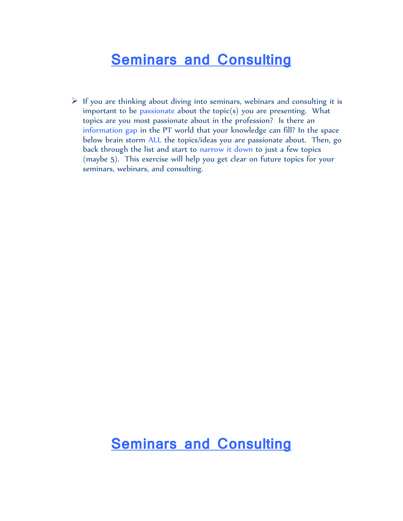## **Seminars and Consulting**

 $\triangleright$  If you are thinking about diving into seminars, webinars and consulting it is important to be passionate about the topic(s) you are presenting. What topics are you most passionate about in the profession? Is there an information gap in the PT world that your knowledge can fill? In the space below brain storm ALL the topics/ideas you are passionate about. Then, go back through the list and start to narrow it down to just a few topics (maybe 5). This exercise will help you get clear on future topics for your seminars, webinars, and consulting.

#### **Seminars and Consulting**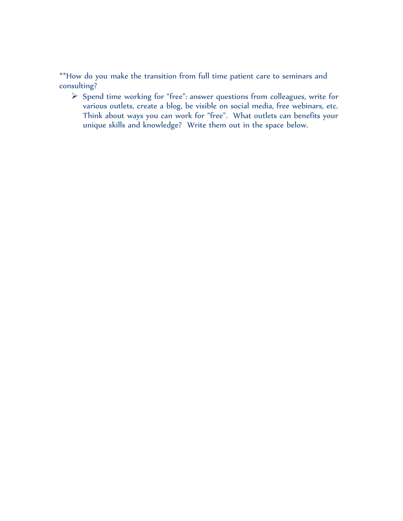\*\*How do you make the transition from full time patient care to seminars and consulting?

 $\triangleright$  Spend time working for "free": answer questions from colleagues, write for various outlets, create a blog, be visible on social media, free webinars, etc. Think about ways you can work for "free". What outlets can benefits your unique skills and knowledge? Write them out in the space below.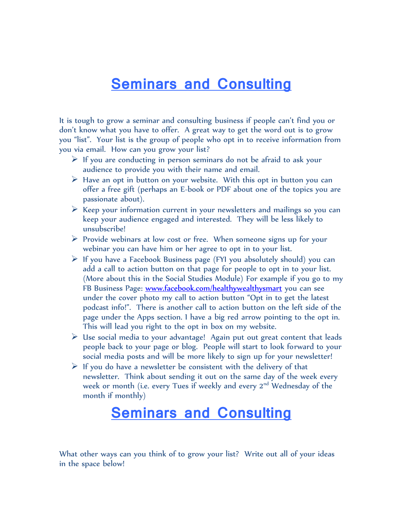### **Seminars and Consulting**

It is tough to grow a seminar and consulting business if people can't find you or don't know what you have to offer. A great way to get the word out is to grow you "list". Your list is the group of people who opt in to receive information from you via email. How can you grow your list?

- $\triangleright$  If you are conducting in person seminars do not be afraid to ask your audience to provide you with their name and email.
- $\triangleright$  Have an opt in button on your website. With this opt in button you can offer a free gift (perhaps an E-book or PDF about one of the topics you are passionate about).
- $\triangleright$  Keep your information current in your newsletters and mailings so you can keep your audience engaged and interested. They will be less likely to unsubscribe!
- $\triangleright$  Provide webinars at low cost or free. When someone signs up for your webinar you can have him or her agree to opt in to your list.
- $\triangleright$  If you have a Facebook Business page (FYI you absolutely should) you can add a call to action button on that page for people to opt in to your list. (More about this in the Social Studies Module) For example if you go to my FB Business Page: [www.facebook.com/healthywealthysmart](http://www.facebook.com/healthywealthysmart) you can see under the cover photo my call to action button "Opt in to get the latest podcast info!". There is another call to action button on the left side of the page under the Apps section. I have a big red arrow pointing to the opt in. This will lead you right to the opt in box on my website.
- $\triangleright$  Use social media to your advantage! Again put out great content that leads people back to your page or blog. People will start to look forward to your social media posts and will be more likely to sign up for your newsletter!
- $\triangleright$  If you do have a newsletter be consistent with the delivery of that newsletter. Think about sending it out on the same day of the week every week or month (i.e. every Tues if weekly and every 2<sup>nd</sup> Wednesday of the month if monthly)

## **Seminars and Consulting**

What other ways can you think of to grow your list? Write out all of your ideas in the space below!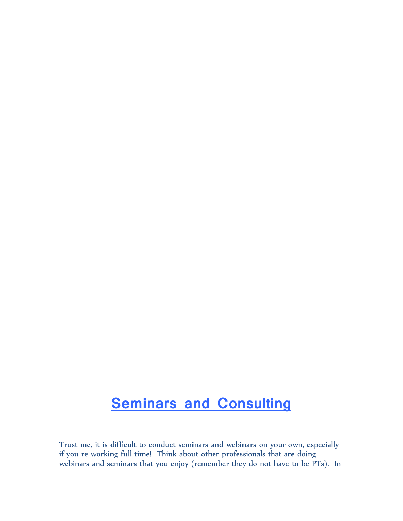# **Seminars and Consulting**

Trust me, it is difficult to conduct seminars and webinars on your own, especially if you re working full time! Think about other professionals that are doing webinars and seminars that you enjoy (remember they do not have to be PTs). In